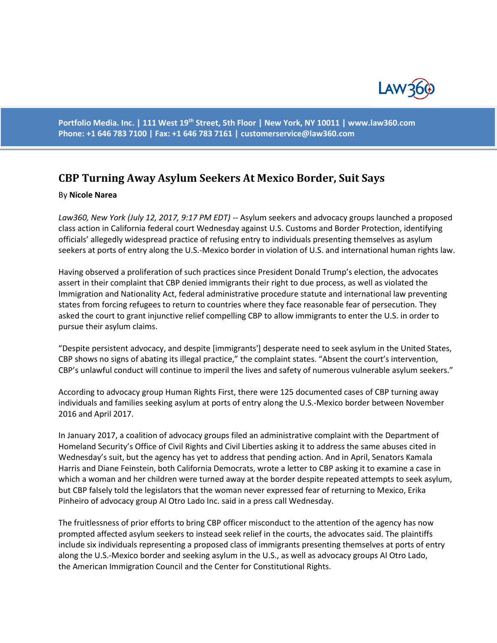

**Portfolio Media. Inc. | 111 West 19th Street, 5th Floor | New York, NY 10011 | www.law360.com Phone: +1 646 783 7100 | Fax: +1 646 783 7161 | [customerservice@law360.com](mailto:customerservice@law360.com)**

## **CBP Turning Away Asylum Seekers At Mexico Border, Suit Says**

## By **Nicole Narea**

*Law360, New York (July 12, 2017, 9:17 PM EDT) --* Asylum seekers and advocacy groups launched a proposed class action in California federal court Wednesday against U.S. Customs and Border Protection, identifying officials' allegedly widespread practice of refusing entry to individuals presenting themselves as asylum seekers at ports of entry along the U.S.-Mexico border in violation of U.S. and international human rights law.

Having observed a proliferation of such practices since President Donald Trump's election, the advocates assert in their complaint that CBP denied immigrants their right to due process, as well as violated the Immigration and Nationality Act, federal administrative procedure statute and international law preventing states from forcing refugees to return to countries where they face reasonable fear of persecution. They asked the court to grant injunctive relief compelling CBP to allow immigrants to enter the U.S. in order to pursue their asylum claims.

"Despite persistent advocacy, and despite [immigrants'] desperate need to seek asylum in the United States, CBP shows no signs of abating its illegal practice," the complaint states. "Absent the court's intervention, CBP's unlawful conduct will continue to imperil the lives and safety of numerous vulnerable asylum seekers."

According to advocacy group Human Rights First, there were 125 documented cases of CBP turning away individuals and families seeking asylum at ports of entry along the U.S.-Mexico border between November 2016 and April 2017.

In January 2017, a coalition of advocacy groups filed an administrative complaint with the Department of Homeland Security's Office of Civil Rights and Civil Liberties asking it to address the same abuses cited in Wednesday's suit, but the agency has yet to address that pending action. And in April, Senators Kamala Harris and Diane Feinstein, both California Democrats, wrote a letter to CBP asking it to examine a case in which a woman and her children were turned away at the border despite repeated attempts to seek asylum, but CBP falsely told the legislators that the woman never expressed fear of returning to Mexico, Erika Pinheiro of advocacy group Al Otro Lado Inc. said in a press call Wednesday.

The fruitlessness of prior efforts to bring CBP officer misconduct to the attention of the agency has now prompted affected asylum seekers to instead seek relief in the courts, the advocates said. The plaintiffs include six individuals representing a proposed class of immigrants presenting themselves at ports of entry along the U.S.-Mexico border and seeking asylum in the U.S., as well as advocacy groups Al Otro Lado, the American Immigration Council and the Center for Constitutional Rights.